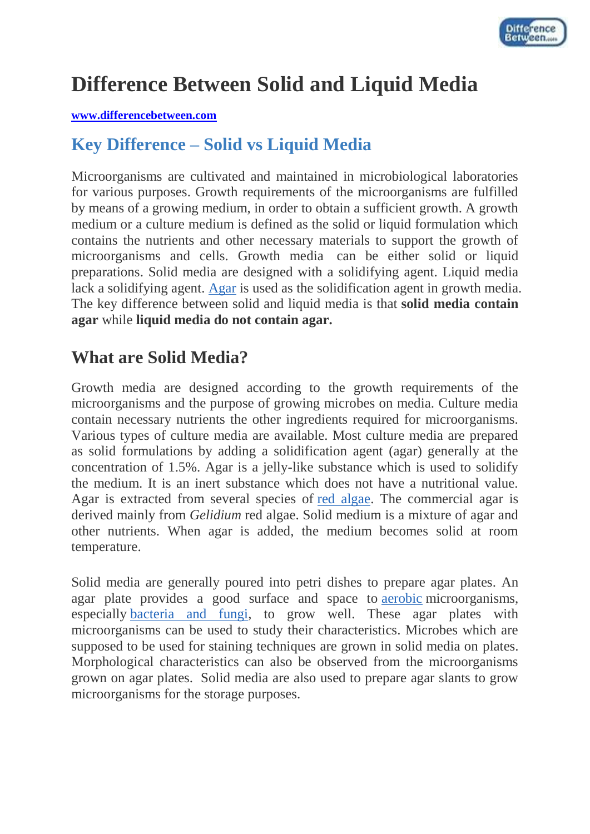

# **Difference Between Solid and Liquid Media**

#### **[www.differencebetween.com](http://www.differencebetween.com/)**

## **Key Difference – Solid vs Liquid Media**

Microorganisms are cultivated and maintained in microbiological laboratories for various purposes. Growth requirements of the microorganisms are fulfilled by means of a growing medium, in order to obtain a sufficient growth. A growth medium or a culture medium is defined as the solid or liquid formulation which contains the nutrients and other necessary materials to support the growth of microorganisms and cells. Growth media can be either solid or liquid preparations. Solid media are designed with a solidifying agent. Liquid media lack a solidifying agent. [Agar](http://www.differencebetween.com/difference-between-agar-and-vs-agarose/) is used as the solidification agent in growth media. The key difference between solid and liquid media is that **solid media contain agar** while **liquid media do not contain agar.**

### **What are Solid Media?**

Growth media are designed according to the growth requirements of the microorganisms and the purpose of growing microbes on media. Culture media contain necessary nutrients the other ingredients required for microorganisms. Various types of culture media are available. Most culture media are prepared as solid formulations by adding a solidification agent (agar) generally at the concentration of 1.5%. Agar is a jelly-like substance which is used to solidify the medium. It is an inert substance which does not have a nutritional value. Agar is extracted from several species of [red algae.](http://www.differencebetween.com/difference-between-red-and-vs-green-algae/) The commercial agar is derived mainly from *Gelidium* red algae. Solid medium is a mixture of agar and other nutrients. When agar is added, the medium becomes solid at room temperature.

Solid media are generally poured into petri dishes to prepare agar plates. An agar plate provides a good surface and space to [aerobic](http://www.differencebetween.com/difference-between-aerobic-and-anaerobic-bacteria/) microorganisms, especially [bacteria and fungi,](http://www.differencebetween.com/difference-between-bacteria-and-vs-fungi/) to grow well. These agar plates with microorganisms can be used to study their characteristics. Microbes which are supposed to be used for staining techniques are grown in solid media on plates. Morphological characteristics can also be observed from the microorganisms grown on agar plates. Solid media are also used to prepare agar slants to grow microorganisms for the storage purposes.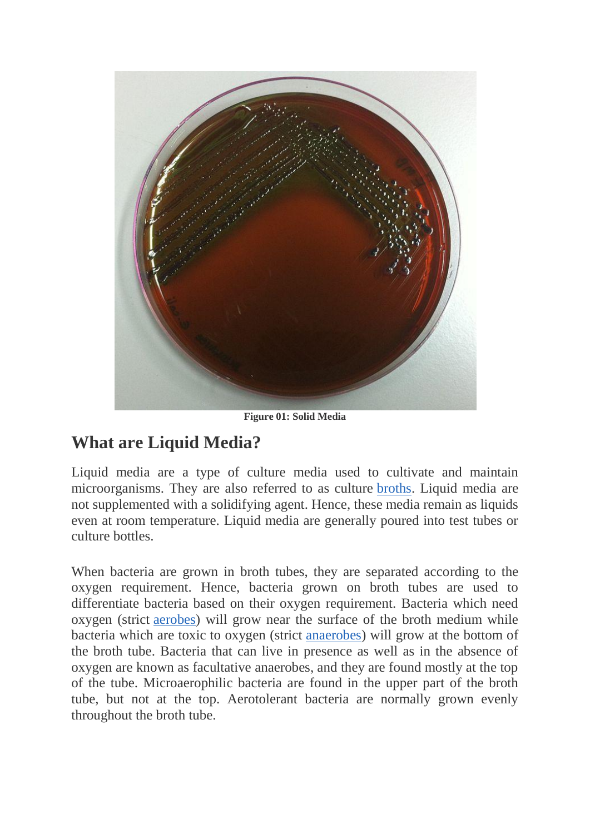

**Figure 01: Solid Media**

## **What are Liquid Media?**

Liquid media are a type of culture media used to cultivate and maintain microorganisms. They are also referred to as culture [broths.](http://www.differencebetween.com/difference-between-nutrient-agar-and-vs-nutrient-broth/#Nutrient Broth) Liquid media are not supplemented with a solidifying agent. Hence, these media remain as liquids even at room temperature. Liquid media are generally poured into test tubes or culture bottles.

When bacteria are grown in broth tubes, they are separated according to the oxygen requirement. Hence, bacteria grown on broth tubes are used to differentiate bacteria based on their oxygen requirement. Bacteria which need oxygen (strict [aerobes\)](http://www.differencebetween.com/difference-between-aerobic-and-anaerobic-bacteria/) will grow near the surface of the broth medium while bacteria which are toxic to oxygen (strict [anaerobes\)](http://www.differencebetween.com/difference-between-aerobic-and-anaerobic-bacteria/) will grow at the bottom of the broth tube. Bacteria that can live in presence as well as in the absence of oxygen are known as facultative anaerobes, and they are found mostly at the top of the tube. Microaerophilic bacteria are found in the upper part of the broth tube, but not at the top. Aerotolerant bacteria are normally grown evenly throughout the broth tube.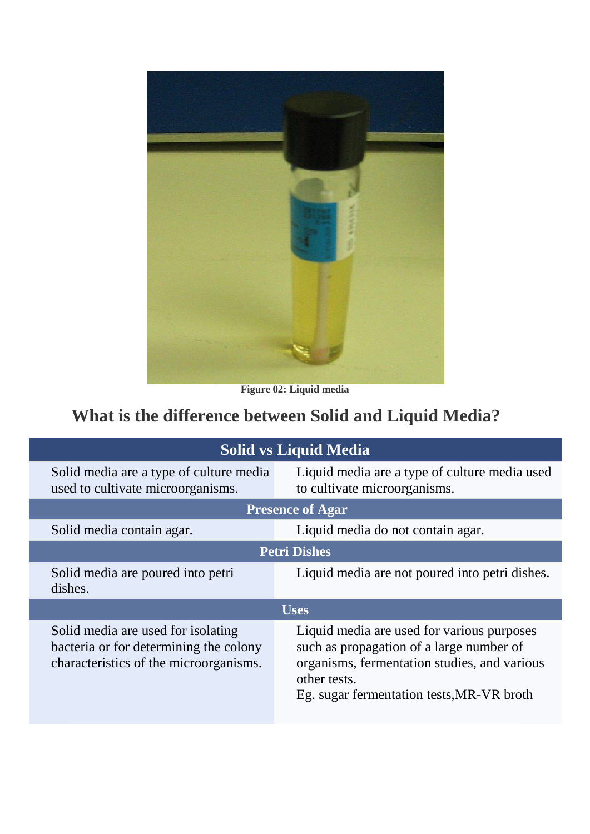

**Figure 02: Liquid media**

# **What is the difference between Solid and Liquid Media?**

| <b>Solid vs Liquid Media</b>                                                                                           |                                                                                                                                                                                                     |
|------------------------------------------------------------------------------------------------------------------------|-----------------------------------------------------------------------------------------------------------------------------------------------------------------------------------------------------|
| Solid media are a type of culture media<br>used to cultivate microorganisms.                                           | Liquid media are a type of culture media used<br>to cultivate microorganisms.                                                                                                                       |
| <b>Presence of Agar</b>                                                                                                |                                                                                                                                                                                                     |
| Solid media contain agar.                                                                                              | Liquid media do not contain agar.                                                                                                                                                                   |
| <b>Petri Dishes</b>                                                                                                    |                                                                                                                                                                                                     |
| Solid media are poured into petri<br>dishes.                                                                           | Liquid media are not poured into petri dishes.                                                                                                                                                      |
| <b>Uses</b>                                                                                                            |                                                                                                                                                                                                     |
| Solid media are used for isolating<br>bacteria or for determining the colony<br>characteristics of the microorganisms. | Liquid media are used for various purposes<br>such as propagation of a large number of<br>organisms, fermentation studies, and various<br>other tests.<br>Eg. sugar fermentation tests, MR-VR broth |